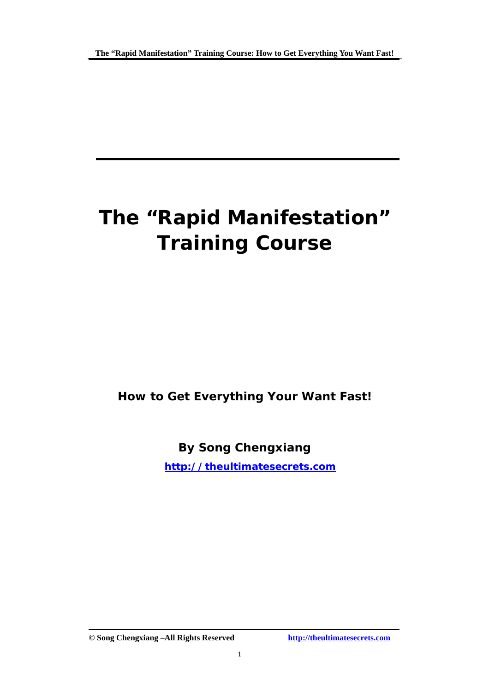# **The "Rapid Manifestation" Training Course**

**How to Get Everything Your Want Fast!** 

**By Song Chengxiang** 

 **<http://theultimatesecrets.com>**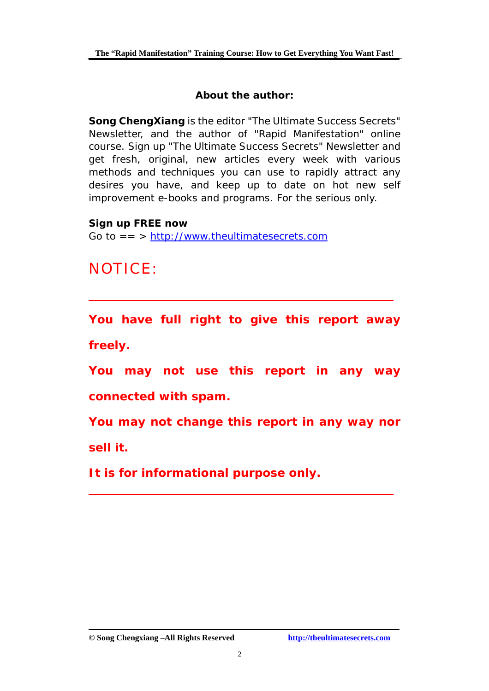#### **About the author:**

**Song ChengXiang** is the editor "The Ultimate Success Secrets" Newsletter, and the author of "Rapid Manifestation" online course. Sign up "The Ultimate Success Secrets" Newsletter and get fresh, original, new articles every week with various methods and techniques you can use to rapidly attract any desires you have, and keep up to date on hot new self improvement e-books and programs. For the serious only.

**Sign up FREE now** 

Go to  $==$  > <http://www.theultimatesecrets.com>

# NOTICE:

**You have full right to give this report away freely.**

**You may not use this report in any way connected with spam.** 

**You may not change this report in any way nor sell it.** 

**It is for informational purpose only.**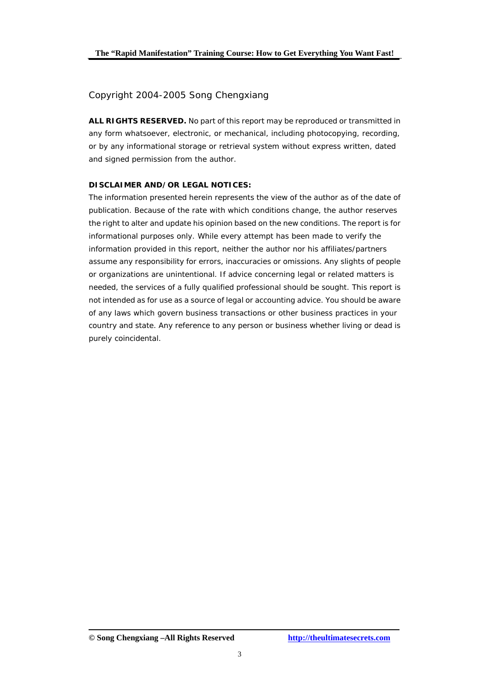#### Copyright 2004-2005 Song Chengxiang

**ALL RIGHTS RESERVED.** No part of this report may be reproduced or transmitted in any form whatsoever, electronic, or mechanical, including photocopying, recording, or by any informational storage or retrieval system without express written, dated and signed permission from the author.

#### **DISCLAIMER AND/OR LEGAL NOTICES:**

The information presented herein represents the view of the author as of the date of publication. Because of the rate with which conditions change, the author reserves the right to alter and update his opinion based on the new conditions. The report is for informational purposes only. While every attempt has been made to verify the information provided in this report, neither the author nor his affiliates/partners assume any responsibility for errors, inaccuracies or omissions. Any slights of people or organizations are unintentional. If advice concerning legal or related matters is needed, the services of a fully qualified professional should be sought. This report is not intended as for use as a source of legal or accounting advice. You should be aware of any laws which govern business transactions or other business practices in your country and state. Any reference to any person or business whether living or dead is purely coincidental.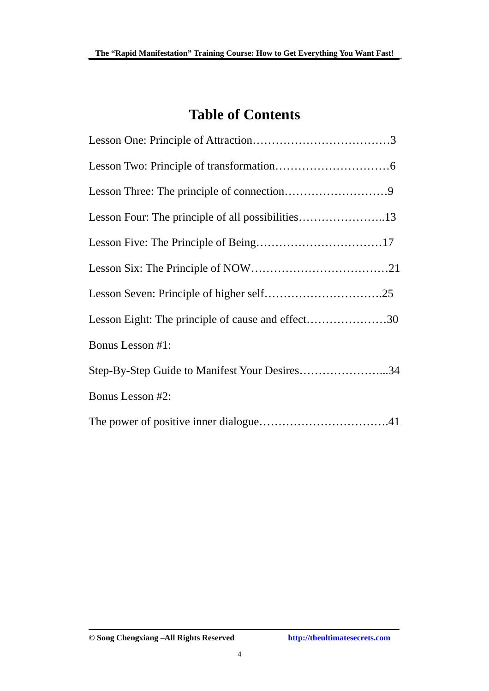# **Table of Contents**

| Lesson Eight: The principle of cause and effect30 |
|---------------------------------------------------|
| Bonus Lesson #1:                                  |
| Step-By-Step Guide to Manifest Your Desires34     |
| Bonus Lesson #2:                                  |
|                                                   |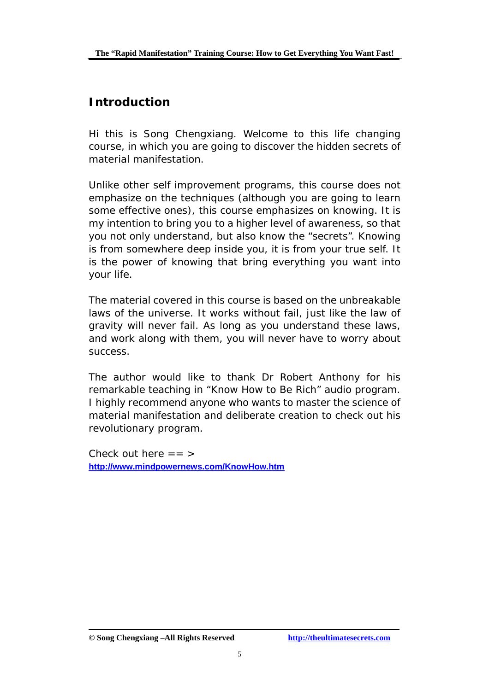### **Introduction**

Hi this is Song Chengxiang. Welcome to this life changing course, in which you are going to discover the hidden secrets of material manifestation.

Unlike other self improvement programs, this course does not emphasize on the techniques (although you are going to learn some effective ones), this course emphasizes on knowing. It is my intention to bring you to a higher level of awareness, so that you not only understand, but also know the "secrets". Knowing is from somewhere deep inside you, it is from your true self. It is the power of knowing that bring everything you want into your life.

The material covered in this course is based on the unbreakable laws of the universe. It works without fail, just like the law of gravity will never fail. As long as you understand these laws, and work along with them, you will never have to worry about success.

The author would like to thank Dr Robert Anthony for his remarkable teaching in "Know How to Be Rich" audio program. I highly recommend anyone who wants to master the science of material manifestation and deliberate creation to check out his revolutionary program.

Check out here  $==$  > **<http://www.mindpowernews.com/KnowHow.htm>**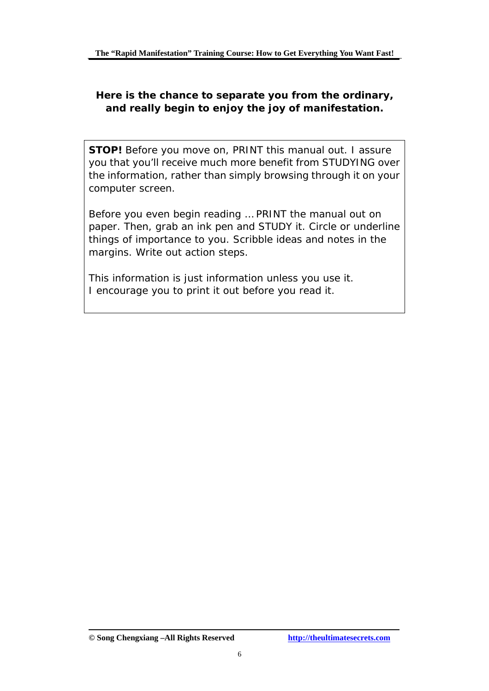#### **Here is the chance to separate you from the ordinary, and really begin to enjoy the joy of manifestation.**

**STOP!** Before you move on, PRINT this manual out. I assure you that you'll receive much more benefit from STUDYING over the information, rather than simply browsing through it on your computer screen.

Before you even begin reading … PRINT the manual out on paper. Then, grab an ink pen and STUDY it. Circle or underline things of importance to you. Scribble ideas and notes in the margins. Write out action steps.

This information is just information unless you use it. I encourage you to print it out before you read it.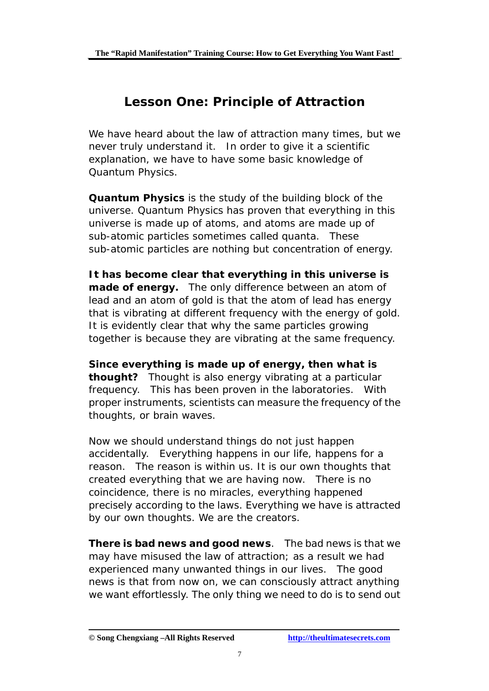# **Lesson One: Principle of Attraction**

We have heard about the law of attraction many times, but we never truly understand it. In order to give it a scientific explanation, we have to have some basic knowledge of Quantum Physics.

**Quantum Physics** is the study of the building block of the universe. Quantum Physics has proven that everything in this universe is made up of atoms, and atoms are made up of sub-atomic particles sometimes called quanta. These sub-atomic particles are nothing but concentration of energy.

**It has become clear that everything in this universe is made of energy.** The only difference between an atom of lead and an atom of gold is that the atom of lead has energy that is vibrating at different frequency with the energy of gold. It is evidently clear that why the same particles growing together is because they are vibrating at the same frequency.

**Since everything is made up of energy, then what is thought?** Thought is also energy vibrating at a particular frequency. This has been proven in the laboratories. With proper instruments, scientists can measure the frequency of the thoughts, or brain waves.

Now we should understand things do not just happen accidentally. Everything happens in our life, happens for a reason. The reason is within us. It is our own thoughts that created everything that we are having now. There is no coincidence, there is no miracles, everything happened precisely according to the laws. Everything we have is attracted by our own thoughts. We are the creators.

**There is bad news and good news**. The bad news is that we may have misused the law of attraction; as a result we had experienced many unwanted things in our lives. The good news is that from now on, we can consciously attract anything we want effortlessly. The only thing we need to do is to send out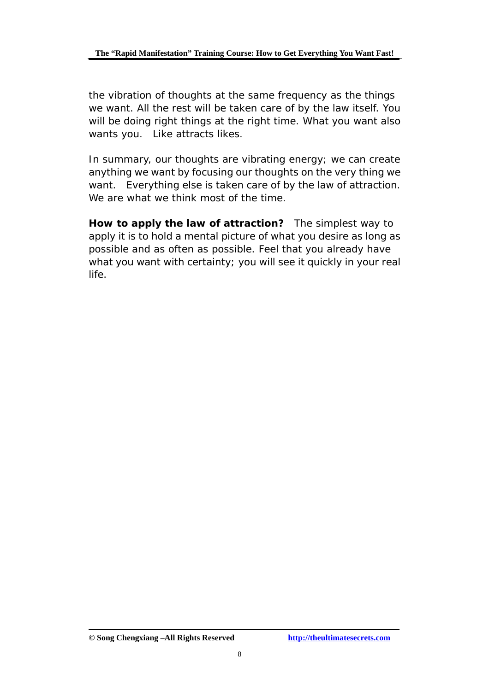the vibration of thoughts at the same frequency as the things we want. All the rest will be taken care of by the law itself. You will be doing right things at the right time. What you want also wants you. Like attracts likes.

In summary, our thoughts are vibrating energy; we can create anything we want by focusing our thoughts on the very thing we want. Everything else is taken care of by the law of attraction. We are what we think most of the time.

**How to apply the law of attraction?** The simplest way to apply it is to hold a mental picture of what you desire as long as possible and as often as possible. Feel that you already have what you want with certainty; you will see it quickly in your real life.

**<sup>©</sup> Song Chengxiang –All Rights Reserved <http://theultimatesecrets.com>**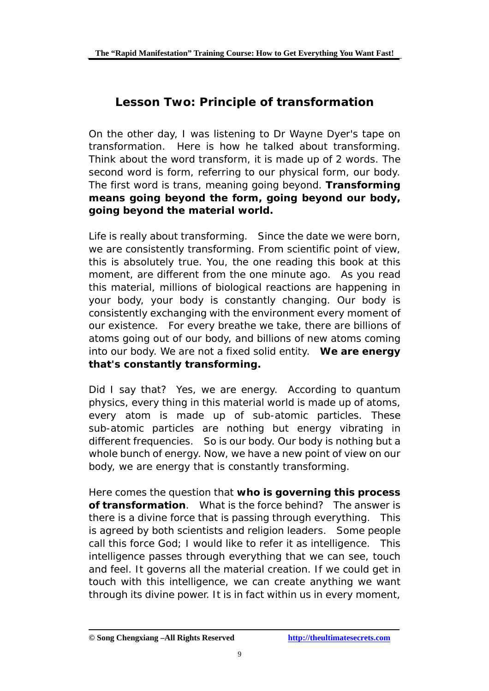# **Lesson Two: Principle of transformation**

On the other day, I was listening to Dr Wayne Dyer's tape on transformation. Here is how he talked about transforming. Think about the word transform, it is made up of 2 words. The second word is form, referring to our physical form, our body. The first word is trans, meaning going beyond. **Transforming means going beyond the form, going beyond our body, going beyond the material world.** 

Life is really about transforming. Since the date we were born, we are consistently transforming. From scientific point of view, this is absolutely true. You, the one reading this book at this moment, are different from the one minute ago. As you read this material, millions of biological reactions are happening in your body, your body is constantly changing. Our body is consistently exchanging with the environment every moment of our existence. For every breathe we take, there are billions of atoms going out of our body, and billions of new atoms coming into our body. We are not a fixed solid entity. **We are energy that's constantly transforming.** 

Did I say that? Yes, we are energy. According to quantum physics, every thing in this material world is made up of atoms, every atom is made up of sub-atomic particles. These sub-atomic particles are nothing but energy vibrating in different frequencies. So is our body. Our body is nothing but a whole bunch of energy. Now, we have a new point of view on our body, we are energy that is constantly transforming.

Here comes the question that **who is governing this process of transformation**. What is the force behind? The answer is there is a divine force that is passing through everything. This is agreed by both scientists and religion leaders. Some people call this force God; I would like to refer it as intelligence. This intelligence passes through everything that we can see, touch and feel. It governs all the material creation. If we could get in touch with this intelligence, we can create anything we want through its divine power. It is in fact within us in every moment,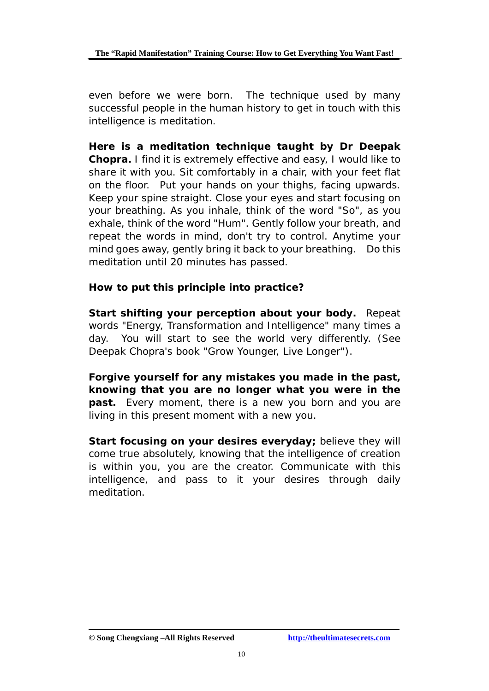even before we were born. The technique used by many successful people in the human history to get in touch with this intelligence is meditation.

**Here is a meditation technique taught by Dr Deepak Chopra.** I find it is extremely effective and easy, I would like to share it with you. Sit comfortably in a chair, with your feet flat on the floor. Put your hands on your thighs, facing upwards. Keep your spine straight. Close your eyes and start focusing on your breathing. As you inhale, think of the word "So", as you exhale, think of the word "Hum". Gently follow your breath, and repeat the words in mind, don't try to control. Anytime your mind goes away, gently bring it back to your breathing. Do this meditation until 20 minutes has passed.

#### **How to put this principle into practice?**

**Start shifting your perception about your body.** Repeat words "Energy, Transformation and Intelligence" many times a day. You will start to see the world very differently. (See Deepak Chopra's book "Grow Younger, Live Longer").

**Forgive yourself for any mistakes you made in the past, knowing that you are no longer what you were in the past.** Every moment, there is a new you born and you are living in this present moment with a new you.

**Start focusing on your desires everyday;** believe they will come true absolutely, knowing that the intelligence of creation is within you, you are the creator. Communicate with this intelligence, and pass to it your desires through daily meditation.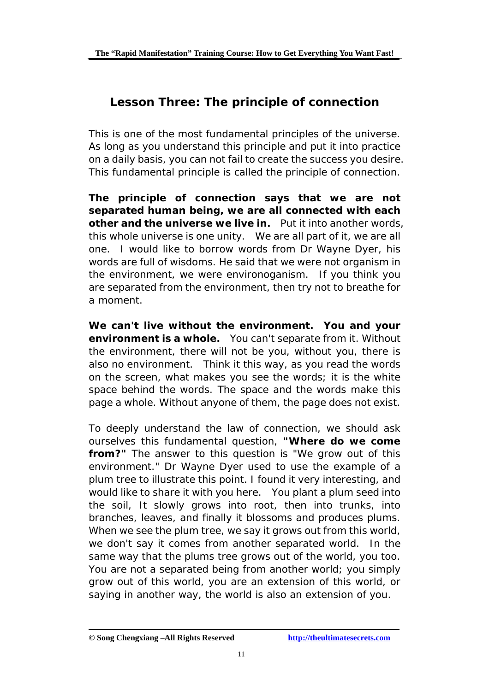# **Lesson Three: The principle of connection**

This is one of the most fundamental principles of the universe. As long as you understand this principle and put it into practice on a daily basis, you can not fail to create the success you desire. This fundamental principle is called the principle of connection.

**The principle of connection says that we are not separated human being, we are all connected with each other and the universe we live in.** Put it into another words, this whole universe is one unity. We are all part of it, we are all one. I would like to borrow words from Dr Wayne Dyer, his words are full of wisdoms. He said that we were not organism in the environment, we were environoganism. If you think you are separated from the environment, then try not to breathe for a moment.

**We can't live without the environment. You and your environment is a whole.** You can't separate from it. Without the environment, there will not be you, without you, there is also no environment. Think it this way, as you read the words on the screen, what makes you see the words; it is the white space behind the words. The space and the words make this page a whole. Without anyone of them, the page does not exist.

To deeply understand the law of connection, we should ask ourselves this fundamental question, **"Where do we come from?"** The answer to this question is "We grow out of this environment." Dr Wayne Dyer used to use the example of a plum tree to illustrate this point. I found it very interesting, and would like to share it with you here. You plant a plum seed into the soil, It slowly grows into root, then into trunks, into branches, leaves, and finally it blossoms and produces plums. When we see the plum tree, we say it grows out from this world, we don't say it comes from another separated world. In the same way that the plums tree grows out of the world, you too. You are not a separated being from another world; you simply grow out of this world, you are an extension of this world, or saying in another way, the world is also an extension of you.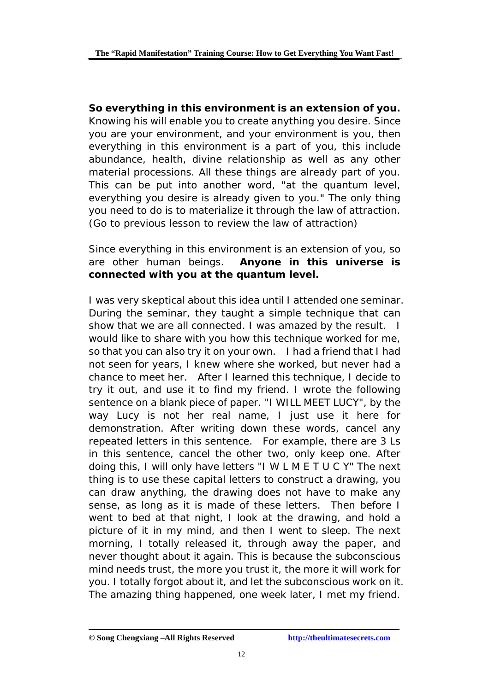**So everything in this environment is an extension of you.**  Knowing his will enable you to create anything you desire. Since you are your environment, and your environment is you, then everything in this environment is a part of you, this include abundance, health, divine relationship as well as any other material processions. All these things are already part of you. This can be put into another word, "at the quantum level, everything you desire is already given to you." The only thing you need to do is to materialize it through the law of attraction. (Go to previous lesson to review the law of attraction)

Since everything in this environment is an extension of you, so are other human beings. **Anyone in this universe is connected with you at the quantum level.** 

I was very skeptical about this idea until I attended one seminar. During the seminar, they taught a simple technique that can show that we are all connected. I was amazed by the result. I would like to share with you how this technique worked for me, so that you can also try it on your own. I had a friend that I had not seen for years, I knew where she worked, but never had a chance to meet her. After I learned this technique, I decide to try it out, and use it to find my friend. I wrote the following sentence on a blank piece of paper. "I WILL MEET LUCY", by the way Lucy is not her real name, I just use it here for demonstration. After writing down these words, cancel any repeated letters in this sentence. For example, there are 3 Ls in this sentence, cancel the other two, only keep one. After doing this, I will only have letters "I W L M E T U C Y" The next thing is to use these capital letters to construct a drawing, you can draw anything, the drawing does not have to make any sense, as long as it is made of these letters. Then before I went to bed at that night, I look at the drawing, and hold a picture of it in my mind, and then I went to sleep. The next morning, I totally released it, through away the paper, and never thought about it again. This is because the subconscious mind needs trust, the more you trust it, the more it will work for you. I totally forgot about it, and let the subconscious work on it. The amazing thing happened, one week later, I met my friend.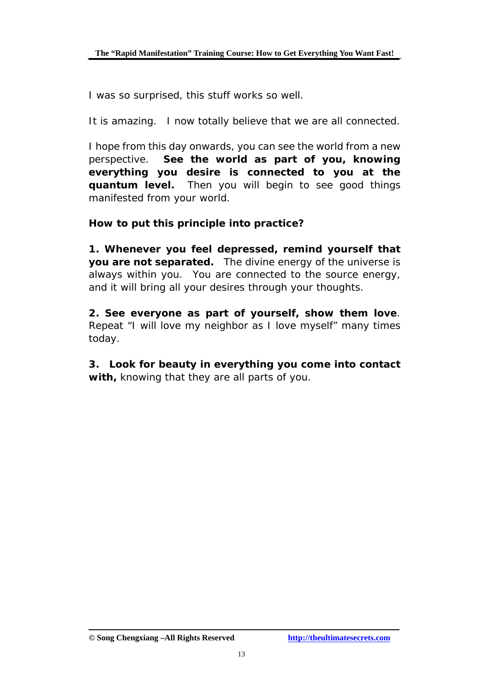I was so surprised, this stuff works so well.

It is amazing. I now totally believe that we are all connected.

I hope from this day onwards, you can see the world from a new perspective. **See the world as part of you, knowing everything you desire is connected to you at the quantum level.** Then you will begin to see good things manifested from your world.

**How to put this principle into practice?** 

**1. Whenever you feel depressed, remind yourself that you are not separated.** The divine energy of the universe is always within you. You are connected to the source energy, and it will bring all your desires through your thoughts.

**2. See everyone as part of yourself, show them love**. Repeat "I will love my neighbor as I love myself" many times today.

**3. Look for beauty in everything you come into contact with,** knowing that they are all parts of you.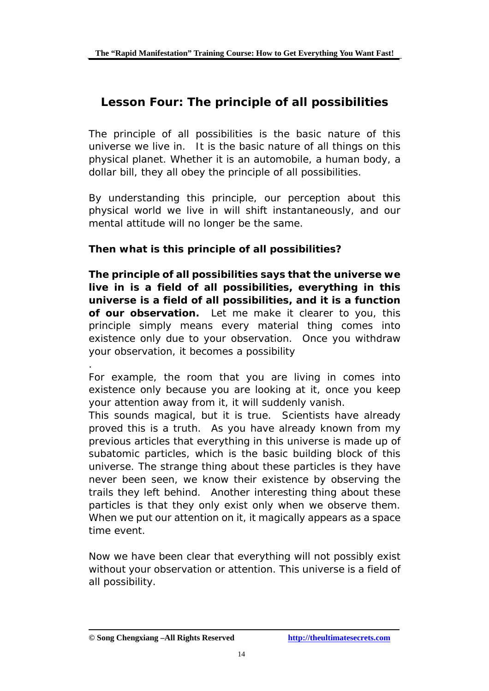# **Lesson Four: The principle of all possibilities**

The principle of all possibilities is the basic nature of this universe we live in. It is the basic nature of all things on this physical planet. Whether it is an automobile, a human body, a dollar bill, they all obey the principle of all possibilities.

By understanding this principle, our perception about this physical world we live in will shift instantaneously, and our mental attitude will no longer be the same.

#### **Then what is this principle of all possibilities?**

*The principle of all possibilities says that the universe we live in is a field of all possibilities, everything in this universe is a field of all possibilities, and it is a function of our observation.* Let me make it clearer to you, this principle simply means every material thing comes into existence only due to your observation. Once you withdraw your observation, it becomes a possibility

.

For example, the room that you are living in comes into existence only because you are looking at it, once you keep your attention away from it, it will suddenly vanish.

This sounds magical, but it is true. Scientists have already proved this is a truth. As you have already known from my previous articles that everything in this universe is made up of subatomic particles, which is the basic building block of this universe. The strange thing about these particles is they have never been seen, we know their existence by observing the trails they left behind. Another interesting thing about these particles is that they only exist only when we observe them. When we put our attention on it, it magically appears as a space time event.

Now we have been clear that everything will not possibly exist without your observation or attention. This universe is a field of all possibility.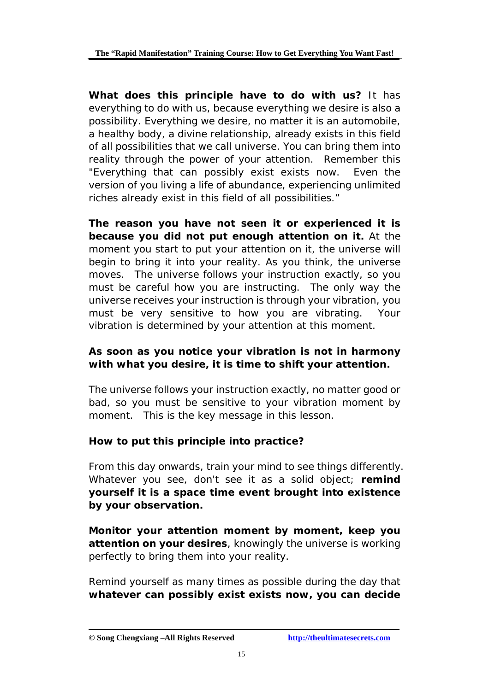**What does this principle have to do with us?** It has everything to do with us, because everything we desire is also a possibility. Everything we desire, no matter it is an automobile, a healthy body, a divine relationship, already exists in this field of all possibilities that we call universe. You can bring them into reality through the power of your attention. Remember this "Everything that can possibly exist exists now. Even the version of you living a life of abundance, experiencing unlimited riches already exist in this field of all possibilities."

**The reason you have not seen it or experienced it is because you did not put enough attention on it.** At the moment you start to put your attention on it, the universe will begin to bring it into your reality. As you think, the universe moves. The universe follows your instruction exactly, so you must be careful how you are instructing. The only way the universe receives your instruction is through your vibration, you must be very sensitive to how you are vibrating. Your vibration is determined by your attention at this moment.

#### **As soon as you notice your vibration is not in harmony with what you desire, it is time to shift your attention.**

The universe follows your instruction exactly, no matter good or bad, so you must be sensitive to your vibration moment by moment. This is the key message in this lesson.

#### **How to put this principle into practice?**

From this day onwards, train your mind to see things differently. Whatever you see, don't see it as a solid object; **remind yourself it is a space time event brought into existence by your observation.** 

**Monitor your attention moment by moment, keep you attention on your desires**, knowingly the universe is working perfectly to bring them into your reality.

Remind yourself as many times as possible during the day that **whatever can possibly exist exists now, you can decide**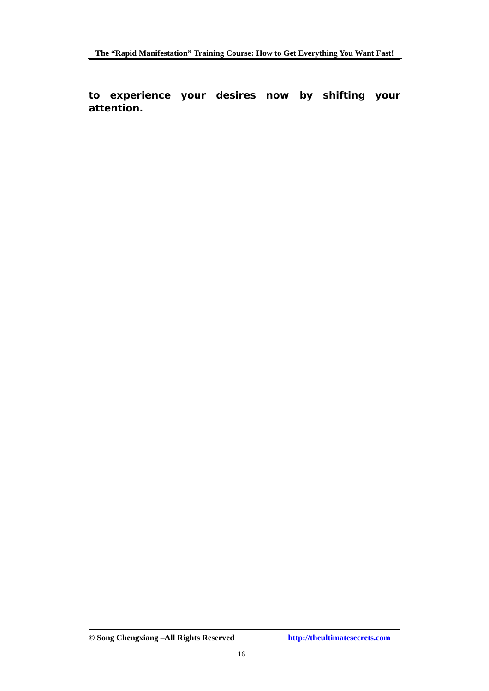**to experience your desires now by shifting your attention.** 

**<sup>©</sup> Song Chengxiang –All Rights Reserved <http://theultimatesecrets.com>**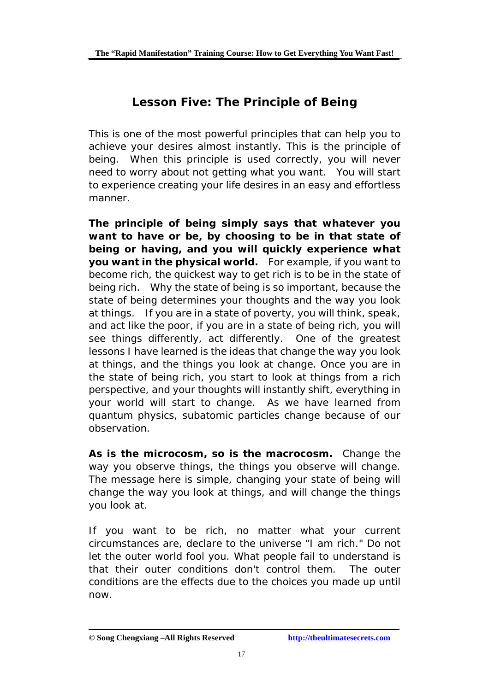# **Lesson Five: The Principle of Being**

This is one of the most powerful principles that can help you to achieve your desires almost instantly. This is the principle of being. When this principle is used correctly, you will never need to worry about not getting what you want. You will start to experience creating your life desires in an easy and effortless manner.

*The principle of being simply says that whatever you want to have or be, by choosing to be in that state of being or having, and you will quickly experience what you want in the physical world.* For example, if you want to become rich, the quickest way to get rich is to be in the state of being rich. Why the state of being is so important, because the state of being determines your thoughts and the way you look at things. If you are in a state of poverty, you will think, speak, and act like the poor, if you are in a state of being rich, you will see things differently, act differently. One of the greatest lessons I have learned is the ideas that change the way you look at things, and the things you look at change. Once you are in the state of being rich, you start to look at things from a rich perspective, and your thoughts will instantly shift, everything in your world will start to change. As we have learned from quantum physics, subatomic particles change because of our observation.

**As is the microcosm, so is the macrocosm.** Change the way you observe things, the things you observe will change. The message here is simple, changing your state of being will change the way you look at things, and will change the things you look at.

If you want to be rich, no matter what your current circumstances are, declare to the universe "I am rich." Do not let the outer world fool you. What people fail to understand is that their outer conditions don't control them. The outer conditions are the effects due to the choices you made up until now.

**<sup>©</sup> Song Chengxiang –All Rights Reserved <http://theultimatesecrets.com>**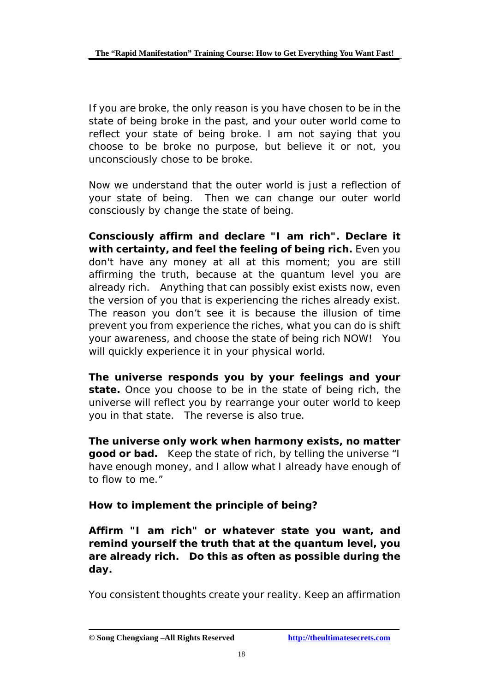If you are broke, the only reason is you have chosen to be in the state of being broke in the past, and your outer world come to reflect your state of being broke. I am not saying that you choose to be broke no purpose, but believe it or not, you unconsciously chose to be broke.

Now we understand that the outer world is just a reflection of your state of being. Then we can change our outer world consciously by change the state of being.

**Consciously affirm and declare "I am rich". Declare it with certainty, and feel the feeling of being rich.** Even you don't have any money at all at this moment; you are still affirming the truth, because at the quantum level you are already rich. Anything that can possibly exist exists now, even the version of you that is experiencing the riches already exist. The reason you don't see it is because the illusion of time prevent you from experience the riches, what you can do is shift your awareness, and choose the state of being rich NOW! You will quickly experience it in your physical world.

**The universe responds you by your feelings and your state.** Once you choose to be in the state of being rich, the universe will reflect you by rearrange your outer world to keep you in that state. The reverse is also true.

**The universe only work when harmony exists, no matter good or bad.** Keep the state of rich, by telling the universe "I have enough money, and I allow what I already have enough of to flow to me."

#### **How to implement the principle of being?**

**Affirm "I am rich" or whatever state you want, and remind yourself the truth that at the quantum level, you are already rich. Do this as often as possible during the day.** 

You consistent thoughts create your reality. Keep an affirmation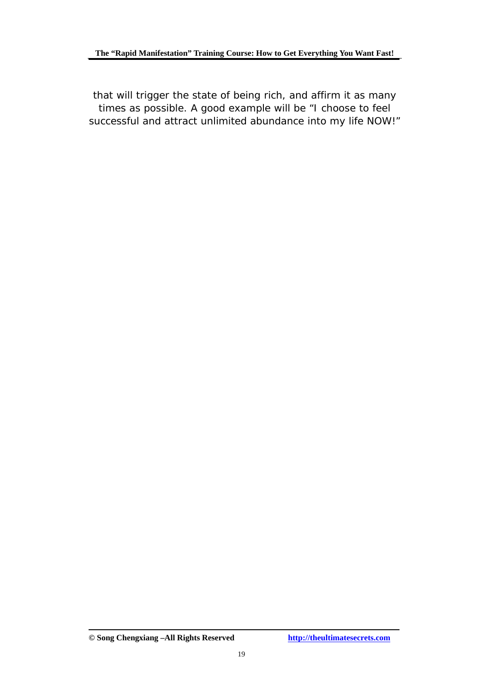that will trigger the state of being rich, and affirm it as many times as possible. A good example will be "I choose to feel successful and attract unlimited abundance into my life NOW!"

**<sup>©</sup> Song Chengxiang –All Rights Reserved <http://theultimatesecrets.com>**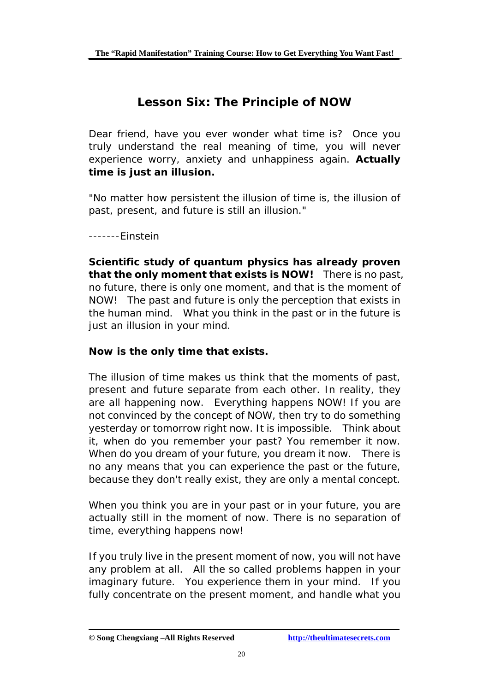# **Lesson Six: The Principle of NOW**

Dear friend, have you ever wonder what time is? Once you truly understand the real meaning of time, you will never experience worry, anxiety and unhappiness again. **Actually time is just an illusion.** 

"No matter how persistent the illusion of time is, the illusion of past, present, and future is still an illusion."

-------Einstein

**Scientific study of quantum physics has already proven that the only moment that exists is NOW!** There is no past, no future, there is only one moment, and that is the moment of NOW! The past and future is only the perception that exists in the human mind. What you think in the past or in the future is just an illusion in your mind.

#### **Now is the only time that exists.**

The illusion of time makes us think that the moments of past, present and future separate from each other. In reality, they are all happening now. Everything happens NOW! If you are not convinced by the concept of NOW, then try to do something yesterday or tomorrow right now. It is impossible. Think about it, when do you remember your past? You remember it now. When do you dream of your future, you dream it now. There is no any means that you can experience the past or the future, because they don't really exist, they are only a mental concept.

When you think you are in your past or in your future, you are actually still in the moment of now. There is no separation of time, everything happens now!

If you truly live in the present moment of now, you will not have any problem at all. All the so called problems happen in your imaginary future. You experience them in your mind. If you fully concentrate on the present moment, and handle what you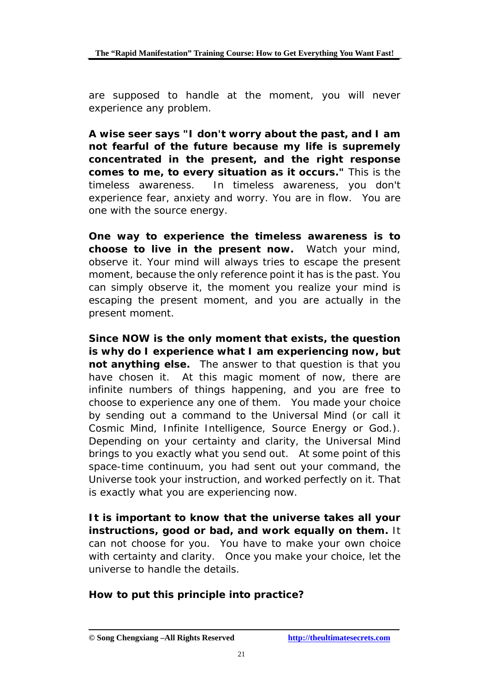are supposed to handle at the moment, you will never experience any problem.

**A wise seer says "I don't worry about the past, and I am not fearful of the future because my life is supremely concentrated in the present, and the right response comes to me, to every situation as it occurs."** This is the timeless awareness. In timeless awareness, you don't experience fear, anxiety and worry. You are in flow. You are one with the source energy.

**One way to experience the timeless awareness is to choose to live in the present now.** Watch your mind, observe it. Your mind will always tries to escape the present moment, because the only reference point it has is the past. You can simply observe it, the moment you realize your mind is escaping the present moment, and you are actually in the present moment.

**Since NOW is the only moment that exists, the question is why do I experience what I am experiencing now, but not anything else.** The answer to that question is that you have chosen it. At this magic moment of now, there are infinite numbers of things happening, and you are free to choose to experience any one of them. You made your choice by sending out a command to the Universal Mind (or call it Cosmic Mind, Infinite Intelligence, Source Energy or God.). Depending on your certainty and clarity, the Universal Mind brings to you exactly what you send out. At some point of this space-time continuum, you had sent out your command, the Universe took your instruction, and worked perfectly on it. That is exactly what you are experiencing now.

**It is important to know that the universe takes all your instructions, good or bad, and work equally on them.** It can not choose for you. You have to make your own choice with certainty and clarity. Once you make your choice, let the universe to handle the details.

#### **How to put this principle into practice?**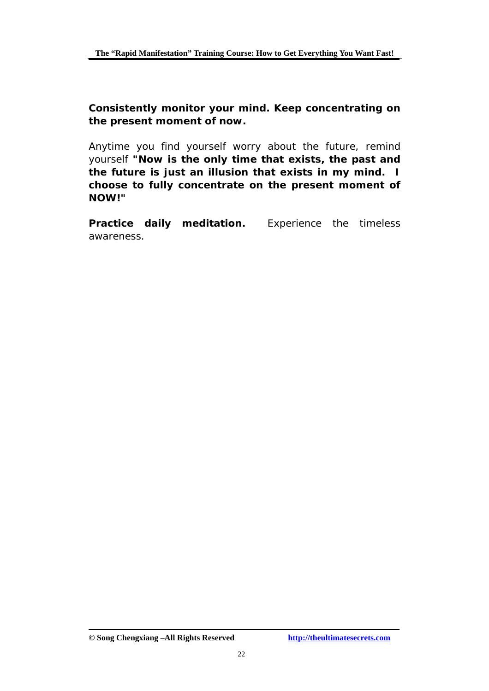**Consistently monitor your mind. Keep concentrating on the present moment of now.** 

Anytime you find yourself worry about the future, remind yourself **"Now is the only time that exists, the past and the future is just an illusion that exists in my mind. I choose to fully concentrate on the present moment of NOW!"** 

**Practice daily meditation.** Experience the timeless awareness.

**<sup>©</sup> Song Chengxiang –All Rights Reserved <http://theultimatesecrets.com>**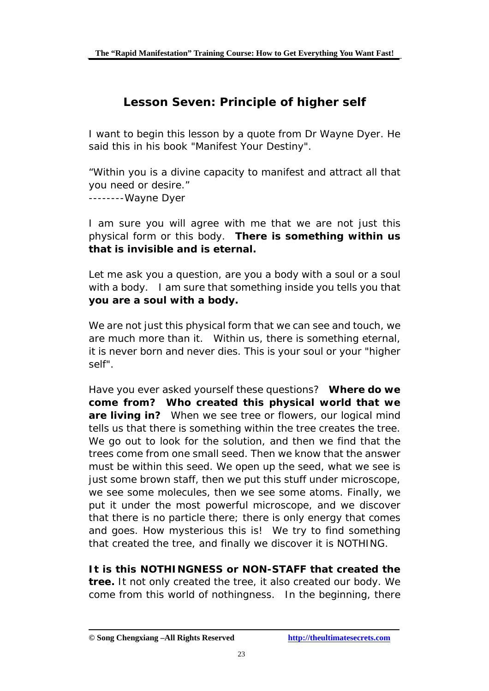# **Lesson Seven: Principle of higher self**

I want to begin this lesson by a quote from Dr Wayne Dyer. He said this in his book "Manifest Your Destiny".

"Within you is a divine capacity to manifest and attract all that you need or desire." --------Wayne Dyer

I am sure you will agree with me that we are not just this physical form or this body. **There is something within us that is invisible and is eternal.** 

Let me ask you a question, are you a body with a soul or a soul with a body. I am sure that something inside you tells you that **you are a soul with a body.** 

We are not just this physical form that we can see and touch, we are much more than it. Within us, there is something eternal, it is never born and never dies. This is your soul or your "higher self".

Have you ever asked yourself these questions? **Where do we come from? Who created this physical world that we are living in?** When we see tree or flowers, our logical mind tells us that there is something within the tree creates the tree. We go out to look for the solution, and then we find that the trees come from one small seed. Then we know that the answer must be within this seed. We open up the seed, what we see is just some brown staff, then we put this stuff under microscope, we see some molecules, then we see some atoms. Finally, we put it under the most powerful microscope, and we discover that there is no particle there; there is only energy that comes and goes. How mysterious this is! We try to find something that created the tree, and finally we discover it is NOTHING.

**It is this NOTHINGNESS or NON-STAFF that created the tree.** It not only created the tree, it also created our body. We come from this world of nothingness. In the beginning, there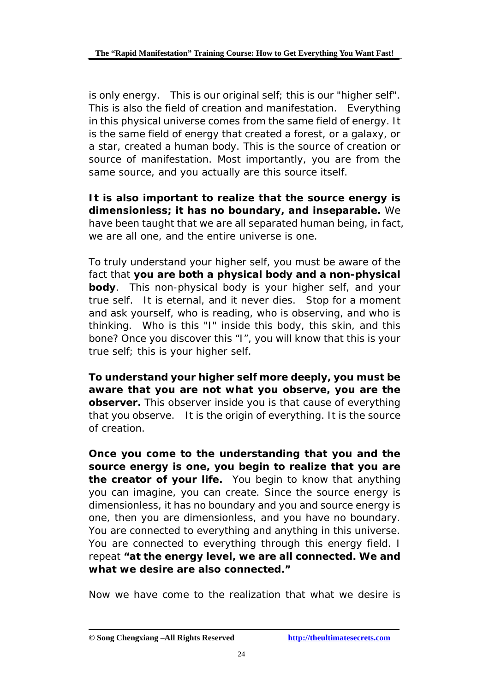is only energy. This is our original self; this is our "higher self". This is also the field of creation and manifestation. Everything in this physical universe comes from the same field of energy. It is the same field of energy that created a forest, or a galaxy, or a star, created a human body. This is the source of creation or source of manifestation. Most importantly, you are from the same source, and you actually are this source itself.

**It is also important to realize that the source energy is dimensionless; it has no boundary, and inseparable.** We have been taught that we are all separated human being, in fact, we are all one, and the entire universe is one.

To truly understand your higher self, you must be aware of the fact that **you are both a physical body and a non-physical body**. This non-physical body is your higher self, and your true self. It is eternal, and it never dies. Stop for a moment and ask yourself, who is reading, who is observing, and who is thinking. Who is this "I" inside this body, this skin, and this bone? Once you discover this "I", you will know that this is your true self; this is your higher self.

**To understand your higher self more deeply, you must be aware that you are not what you observe, you are the observer.** This observer inside you is that cause of everything that you observe. It is the origin of everything. It is the source of creation.

**Once you come to the understanding that you and the source energy is one, you begin to realize that you are the creator of your life.** You begin to know that anything you can imagine, you can create. Since the source energy is dimensionless, it has no boundary and you and source energy is one, then you are dimensionless, and you have no boundary. You are connected to everything and anything in this universe. You are connected to everything through this energy field. I repeat **"at the energy level, we are all connected. We and what we desire are also connected."** 

Now we have come to the realization that what we desire is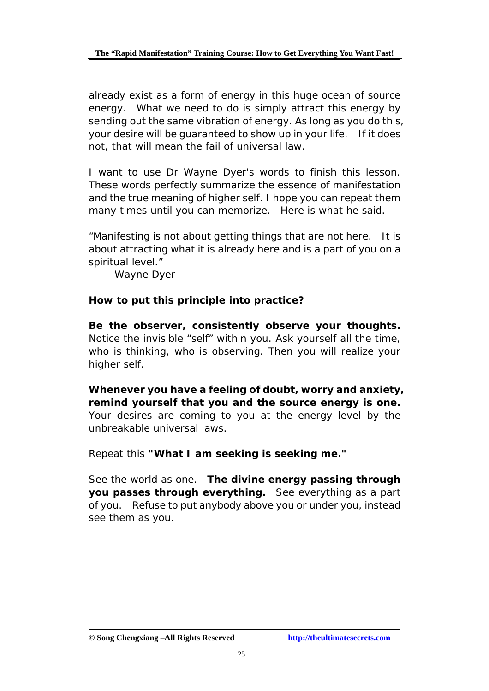already exist as a form of energy in this huge ocean of source energy. What we need to do is simply attract this energy by sending out the same vibration of energy. As long as you do this, your desire will be guaranteed to show up in your life. If it does not, that will mean the fail of universal law.

I want to use Dr Wayne Dyer's words to finish this lesson. These words perfectly summarize the essence of manifestation and the true meaning of higher self. I hope you can repeat them many times until you can memorize. Here is what he said.

"Manifesting is not about getting things that are not here. It is about attracting what it is already here and is a part of you on a spiritual level."

----- Wayne Dyer

#### **How to put this principle into practice?**

**Be the observer, consistently observe your thoughts.** Notice the invisible "self" within you. Ask yourself all the time, who is thinking, who is observing. Then you will realize your higher self.

**Whenever you have a feeling of doubt, worry and anxiety, remind yourself that you and the source energy is one.** Your desires are coming to you at the energy level by the unbreakable universal laws.

Repeat this **"What I am seeking is seeking me."** 

See the world as one. **The divine energy passing through you passes through everything.** See everything as a part of you. Refuse to put anybody above you or under you, instead see them as you.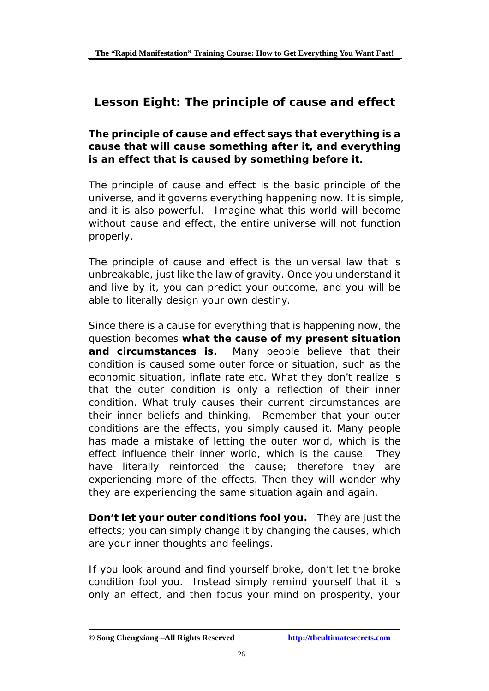# **Lesson Eight: The principle of cause and effect**

#### *The principle of cause and effect says that everything is a cause that will cause something after it, and everything is an effect that is caused by something before it.*

The principle of cause and effect is the basic principle of the universe, and it governs everything happening now. It is simple, and it is also powerful. Imagine what this world will become without cause and effect, the entire universe will not function properly.

The principle of cause and effect is the universal law that is unbreakable, just like the law of gravity. Once you understand it and live by it, you can predict your outcome, and you will be able to literally design your own destiny.

Since there is a cause for everything that is happening now, the question becomes **what the cause of my present situation and circumstances is.** Many people believe that their condition is caused some outer force or situation, such as the economic situation, inflate rate etc. What they don't realize is that the outer condition is only a reflection of their inner condition. What truly causes their current circumstances are their inner beliefs and thinking. Remember that your outer conditions are the effects, you simply caused it. Many people has made a mistake of letting the outer world, which is the effect influence their inner world, which is the cause. They have literally reinforced the cause; therefore they are experiencing more of the effects. Then they will wonder why they are experiencing the same situation again and again.

**Don't let your outer conditions fool you.** They are just the effects; you can simply change it by changing the causes, which are your inner thoughts and feelings.

If you look around and find yourself broke, don't let the broke condition fool you. Instead simply remind yourself that it is only an effect, and then focus your mind on prosperity, your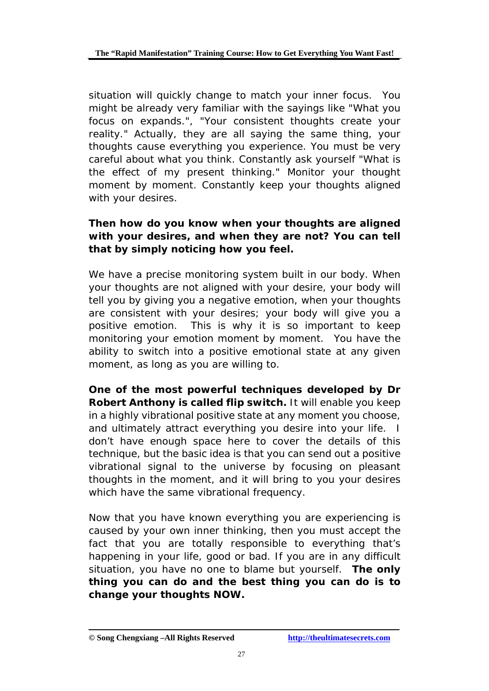situation will quickly change to match your inner focus. You might be already very familiar with the sayings like "What you focus on expands.", "Your consistent thoughts create your reality." Actually, they are all saying the same thing, your thoughts cause everything you experience. You must be very careful about what you think. Constantly ask yourself "What is the effect of my present thinking." Monitor your thought moment by moment. Constantly keep your thoughts aligned with your desires.

#### **Then how do you know when your thoughts are aligned with your desires, and when they are not? You can tell that by simply noticing how you feel.**

We have a precise monitoring system built in our body. When your thoughts are not aligned with your desire, your body will tell you by giving you a negative emotion, when your thoughts are consistent with your desires; your body will give you a positive emotion. This is why it is so important to keep monitoring your emotion moment by moment. You have the ability to switch into a positive emotional state at any given moment, as long as you are willing to.

**One of the most powerful techniques developed by Dr Robert Anthony is called flip switch.** It will enable you keep in a highly vibrational positive state at any moment you choose, and ultimately attract everything you desire into your life. I don't have enough space here to cover the details of this technique, but the basic idea is that you can send out a positive vibrational signal to the universe by focusing on pleasant thoughts in the moment, and it will bring to you your desires which have the same vibrational frequency.

Now that you have known everything you are experiencing is caused by your own inner thinking, then you must accept the fact that you are totally responsible to everything that's happening in your life, good or bad. If you are in any difficult situation, you have no one to blame but yourself. **The only thing you can do and the best thing you can do is to change your thoughts NOW.**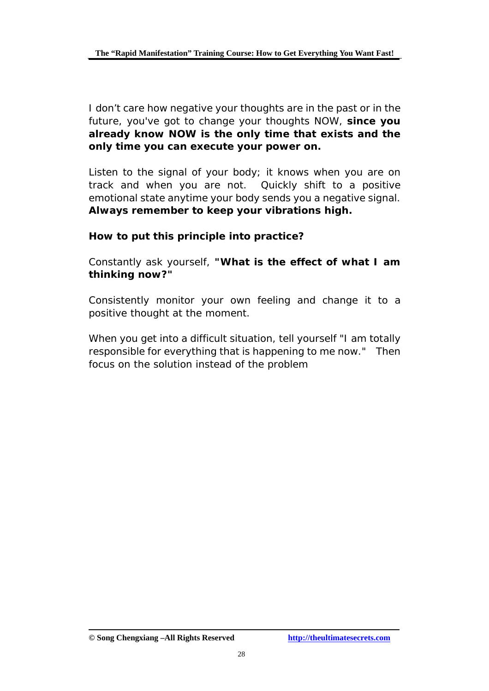I don't care how negative your thoughts are in the past or in the future, you've got to change your thoughts NOW, **since you already know NOW is the only time that exists and the only time you can execute your power on.** 

Listen to the signal of your body; it knows when you are on track and when you are not. Quickly shift to a positive emotional state anytime your body sends you a negative signal. **Always remember to keep your vibrations high.**

#### **How to put this principle into practice?**

Constantly ask yourself, **"What is the effect of what I am thinking now?"** 

Consistently monitor your own feeling and change it to a positive thought at the moment.

When you get into a difficult situation, tell yourself "I am totally responsible for everything that is happening to me now." Then focus on the solution instead of the problem

**<sup>©</sup> Song Chengxiang –All Rights Reserved <http://theultimatesecrets.com>**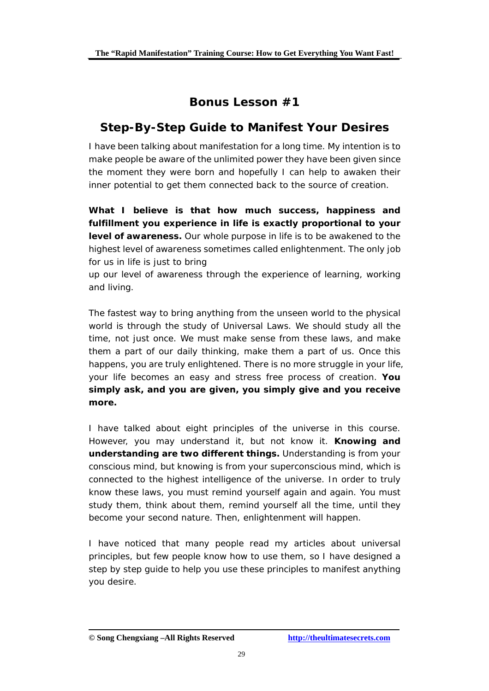# **Bonus Lesson #1**

### **Step-By-Step Guide to Manifest Your Desires**

I have been talking about manifestation for a long time. My intention is to make people be aware of the unlimited power they have been given since the moment they were born and hopefully I can help to awaken their inner potential to get them connected back to the source of creation.

**What I believe is that how much success, happiness and fulfillment you experience in life is exactly proportional to your level of awareness.** Our whole purpose in life is to be awakened to the highest level of awareness sometimes called enlightenment. The only job for us in life is just to bring

up our level of awareness through the experience of learning, working and living.

The fastest way to bring anything from the unseen world to the physical world is through the study of Universal Laws. We should study all the time, not just once. We must make sense from these laws, and make them a part of our daily thinking, make them a part of us. Once this happens, you are truly enlightened. There is no more struggle in your life, your life becomes an easy and stress free process of creation. **You simply ask, and you are given, you simply give and you receive more.**

I have talked about eight principles of the universe in this course. However, you may understand it, but not know it. **Knowing and understanding are two different things.** Understanding is from your conscious mind, but knowing is from your superconscious mind, which is connected to the highest intelligence of the universe. In order to truly know these laws, you must remind yourself again and again. You must study them, think about them, remind yourself all the time, until they become your second nature. Then, enlightenment will happen.

I have noticed that many people read my articles about universal principles, but few people know how to use them, so I have designed a step by step guide to help you use these principles to manifest anything you desire.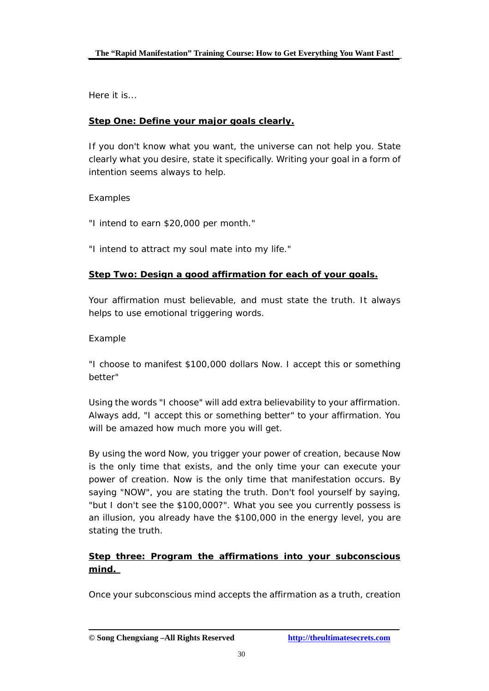Here it is...

#### **Step One: Define your major goals clearly.**

If you don't know what you want, the universe can not help you. State clearly what you desire, state it specifically. Writing your goal in a form of intention seems always to help.

#### Examples

"I intend to earn \$20,000 per month."

"I intend to attract my soul mate into my life."

#### **Step Two: Design a good affirmation for each of your goals.**

Your affirmation must believable, and must state the truth. It always helps to use emotional triggering words.

#### Example

"I choose to manifest \$100,000 dollars Now. I accept this or something better"

Using the words "I choose" will add extra believability to your affirmation. Always add, "I accept this or something better" to your affirmation. You will be amazed how much more you will get.

By using the word Now, you trigger your power of creation, because Now is the only time that exists, and the only time your can execute your power of creation. Now is the only time that manifestation occurs. By saying "NOW", you are stating the truth. Don't fool yourself by saying, "but I don't see the \$100,000?". What you see you currently possess is an illusion, you already have the \$100,000 in the energy level, you are stating the truth.

#### **Step three: Program the affirmations into your subconscious mind.**

Once your subconscious mind accepts the affirmation as a truth, creation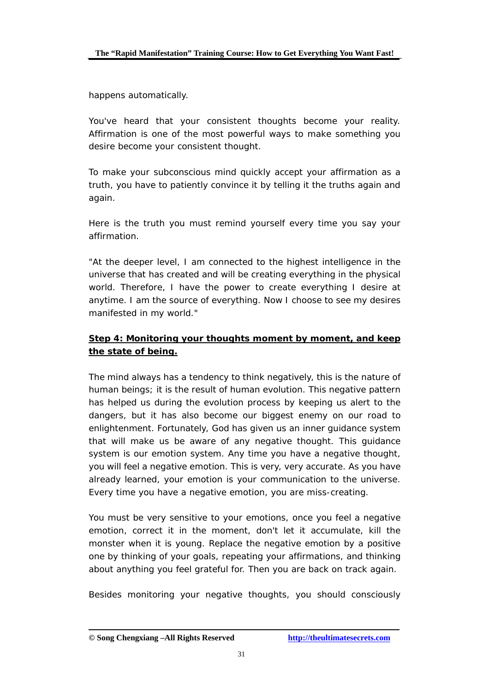happens automatically.

You've heard that your consistent thoughts become your reality. Affirmation is one of the most powerful ways to make something you desire become your consistent thought.

To make your subconscious mind quickly accept your affirmation as a truth, you have to patiently convince it by telling it the truths again and again.

Here is the truth you must remind yourself every time you say your affirmation.

"At the deeper level, I am connected to the highest intelligence in the universe that has created and will be creating everything in the physical world. Therefore, I have the power to create everything I desire at anytime. I am the source of everything. Now I choose to see my desires manifested in my world."

#### **Step 4: Monitoring your thoughts moment by moment, and keep the state of being.**

The mind always has a tendency to think negatively, this is the nature of human beings; it is the result of human evolution. This negative pattern has helped us during the evolution process by keeping us alert to the dangers, but it has also become our biggest enemy on our road to enlightenment. Fortunately, God has given us an inner guidance system that will make us be aware of any negative thought. This guidance system is our emotion system. Any time you have a negative thought, you will feel a negative emotion. This is very, very accurate. As you have already learned, your emotion is your communication to the universe. Every time you have a negative emotion, you are miss-creating.

You must be very sensitive to your emotions, once you feel a negative emotion, correct it in the moment, don't let it accumulate, kill the monster when it is young. Replace the negative emotion by a positive one by thinking of your goals, repeating your affirmations, and thinking about anything you feel grateful for. Then you are back on track again.

Besides monitoring your negative thoughts, you should consciously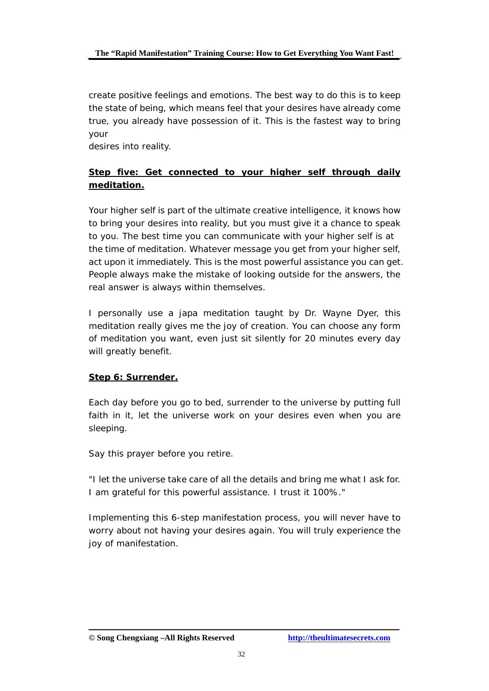create positive feelings and emotions. The best way to do this is to keep the state of being, which means feel that your desires have already come true, you already have possession of it. This is the fastest way to bring your

desires into reality.

#### **Step five: Get connected to your higher self through daily meditation.**

Your higher self is part of the ultimate creative intelligence, it knows how to bring your desires into reality, but you must give it a chance to speak to you. The best time you can communicate with your higher self is at the time of meditation. Whatever message you get from your higher self, act upon it immediately. This is the most powerful assistance you can get. People always make the mistake of looking outside for the answers, the real answer is always within themselves.

I personally use a japa meditation taught by Dr. Wayne Dyer, this meditation really gives me the joy of creation. You can choose any form of meditation you want, even just sit silently for 20 minutes every day will greatly benefit.

#### **Step 6: Surrender.**

Each day before you go to bed, surrender to the universe by putting full faith in it, let the universe work on your desires even when you are sleeping.

Say this prayer before you retire.

"I let the universe take care of all the details and bring me what I ask for. I am grateful for this powerful assistance. I trust it 100%."

Implementing this 6-step manifestation process, you will never have to worry about not having your desires again. You will truly experience the joy of manifestation.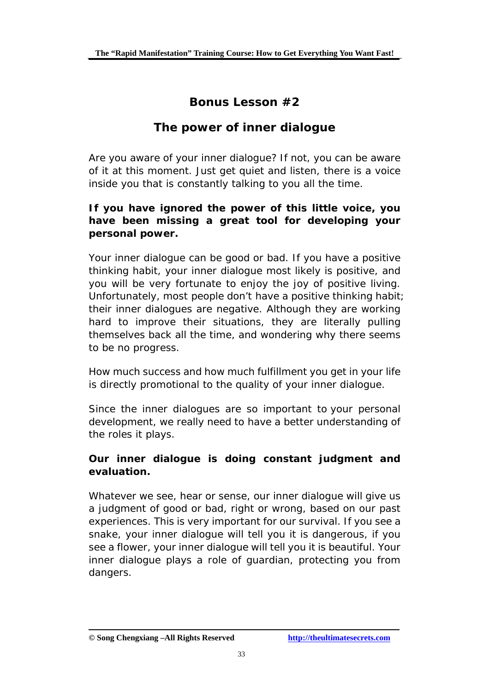# **Bonus Lesson #2**

### **The power of inner dialogue**

Are you aware of your inner dialogue? If not, you can be aware of it at this moment. Just get quiet and listen, there is a voice inside you that is constantly talking to you all the time.

#### **If you have ignored the power of this little voice, you have been missing a great tool for developing your personal power.**

Your inner dialogue can be good or bad. If you have a positive thinking habit, your inner dialogue most likely is positive, and you will be very fortunate to enjoy the joy of positive living. Unfortunately, most people don't have a positive thinking habit; their inner dialogues are negative. Although they are working hard to improve their situations, they are literally pulling themselves back all the time, and wondering why there seems to be no progress.

How much success and how much fulfillment you get in your life is directly promotional to the quality of your inner dialogue.

Since the inner dialogues are so important to your personal development, we really need to have a better understanding of the roles it plays.

#### **Our inner dialogue is doing constant judgment and evaluation.**

Whatever we see, hear or sense, our inner dialogue will give us a judgment of good or bad, right or wrong, based on our past experiences. This is very important for our survival. If you see a snake, your inner dialogue will tell you it is dangerous, if you see a flower, your inner dialogue will tell you it is beautiful. Your inner dialogue plays a role of guardian, protecting you from dangers.

**<sup>©</sup> Song Chengxiang –All Rights Reserved <http://theultimatesecrets.com>**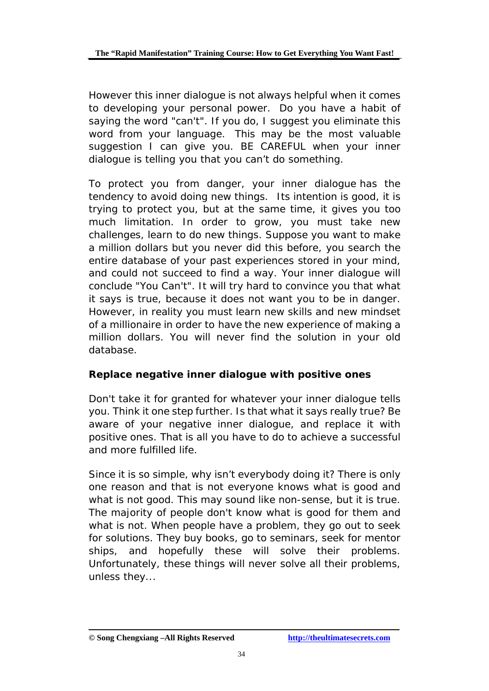However this inner dialogue is not always helpful when it comes to developing your personal power. Do you have a habit of saying the word "can't". If you do, I suggest you eliminate this word from your language. This may be the most valuable suggestion I can give you. BE CAREFUL when your inner dialogue is telling you that you can't do something.

To protect you from danger, your inner dialogue has the tendency to avoid doing new things. Its intention is good, it is trying to protect you, but at the same time, it gives you too much limitation. In order to grow, you must take new challenges, learn to do new things. Suppose you want to make a million dollars but you never did this before, you search the entire database of your past experiences stored in your mind, and could not succeed to find a way. Your inner dialogue will conclude "You Can't". It will try hard to convince you that what it says is true, because it does not want you to be in danger. However, in reality you must learn new skills and new mindset of a millionaire in order to have the new experience of making a million dollars. You will never find the solution in your old database.

#### **Replace negative inner dialogue with positive ones**

Don't take it for granted for whatever your inner dialogue tells you. Think it one step further. Is that what it says really true? Be aware of your negative inner dialogue, and replace it with positive ones. That is all you have to do to achieve a successful and more fulfilled life.

Since it is so simple, why isn't everybody doing it? There is only one reason and that is not everyone knows what is good and what is not good. This may sound like non-sense, but it is true. The majority of people don't know what is good for them and what is not. When people have a problem, they go out to seek for solutions. They buy books, go to seminars, seek for mentor ships, and hopefully these will solve their problems. Unfortunately, these things will never solve all their problems, unless they...

**<sup>©</sup> Song Chengxiang –All Rights Reserved <http://theultimatesecrets.com>**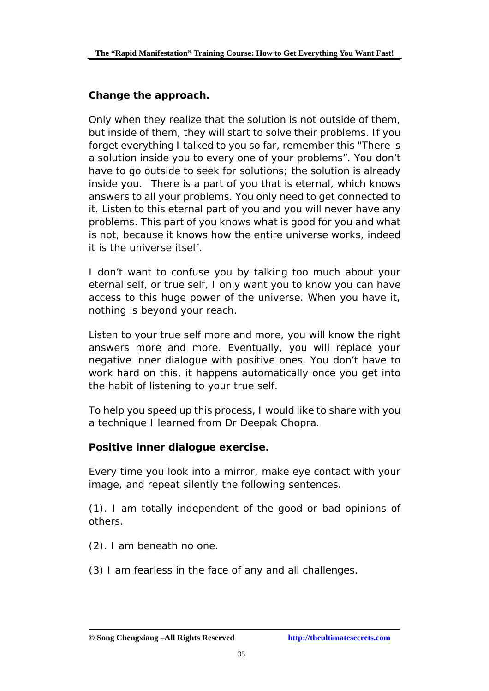#### **Change the approach.**

Only when they realize that the solution is not outside of them, but inside of them, they will start to solve their problems. If you forget everything I talked to you so far, remember this "There is a solution inside you to every one of your problems". You don't have to go outside to seek for solutions; the solution is already inside you. There is a part of you that is eternal, which knows answers to all your problems. You only need to get connected to it. Listen to this eternal part of you and you will never have any problems. This part of you knows what is good for you and what is not, because it knows how the entire universe works, indeed it is the universe itself.

I don't want to confuse you by talking too much about your eternal self, or true self, I only want you to know you can have access to this huge power of the universe. When you have it, nothing is beyond your reach.

Listen to your true self more and more, you will know the right answers more and more. Eventually, you will replace your negative inner dialogue with positive ones. You don't have to work hard on this, it happens automatically once you get into the habit of listening to your true self.

To help you speed up this process, I would like to share with you a technique I learned from Dr Deepak Chopra.

#### **Positive inner dialogue exercise.**

Every time you look into a mirror, make eye contact with your image, and repeat silently the following sentences.

(1). I am totally independent of the good or bad opinions of others.

(2). I am beneath no one.

(3) I am fearless in the face of any and all challenges.